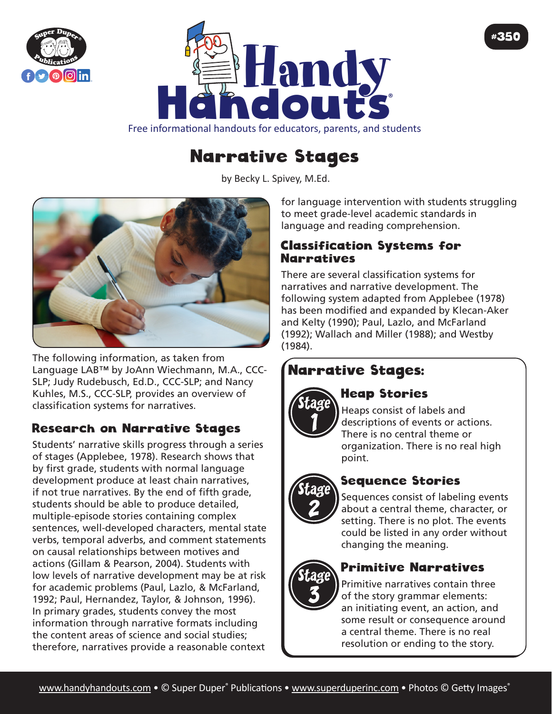



#### Free informational handouts for educators, parents, and students

# Narrative Stages

by Becky L. Spivey, [M.Ed](http://M.Ed).



The following information, as taken from Language LAB™ by JoAnn Wiechmann, M.A., CCC-SLP; Judy Rudebusch, Ed.D., CCC-SLP; and Nancy Kuhles, M.S., CCC-SLP, provides an overview of classification systems for narratives.

## Research on Narrative Stages

Students' narrative skills progress through a series of stages (Applebee, 1978). Research shows that by first grade, students with normal language development produce at least chain narratives, if not true narratives. By the end of fifth grade, students should be able to produce detailed, multiple-episode stories containing complex sentences, well-developed characters, mental state verbs, temporal adverbs, and comment statements on causal relationships between motives and actions (Gillam & Pearson, 2004). Students with low levels of narrative development may be at risk for academic problems (Paul, Lazlo, & McFarland, 1992; Paul, Hernandez, Taylor, & Johnson, 1996). In primary grades, students convey the most information through narrative formats including the content areas of science and social studies; therefore, narratives provide a reasonable context

for language intervention with students struggling to meet grade-level academic standards in language and reading comprehension.

#350

#### Classification Systems for **Narratives**

There are several classification systems for narratives and narrative development. The following system adapted from Applebee (1978) has been modified and expanded by Klecan-Aker and Kelty (1990); Paul, Lazlo, and McFarland (1992); Wallach and Miller (1988); and Westby (1984).

# Narrative Stages:



# Heap Stories

Heaps consist of labels and descriptions of events or actions. There is no central theme or organization. There is no real high point.



## Sequence Stories

Sequences consist of labeling events about a central theme, character, or setting. There is no plot. The events could be listed in any order without changing the meaning.



#### Primitive Narratives

Primitive narratives contain three of the story grammar elements: an initiating event, an action, and some result or consequence around a central theme. There is no real resolution or ending to the story.